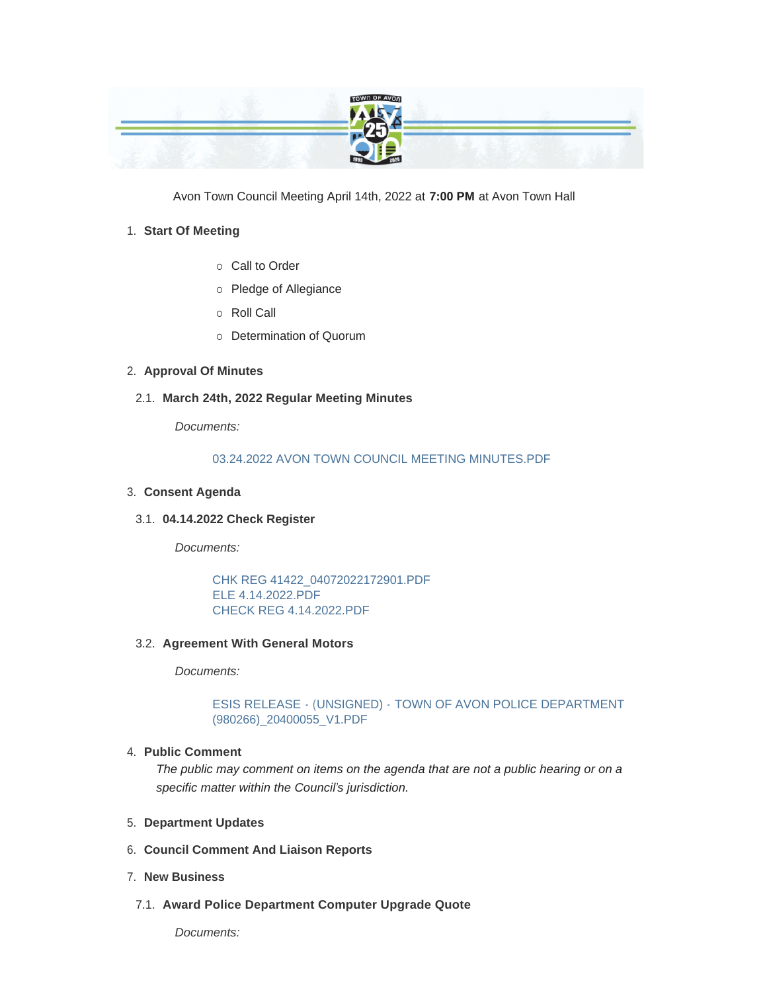

Avon Town Council Meeting April 14th, 2022 at **7:00 PM** at Avon Town Hall

## **Start Of Meeting** 1.

- o Call to Order
- o Pledge of Allegiance
- ¡ Roll Call
- o Determination of Quorum

# **Approval Of Minutes** 2.

**March 24th, 2022 Regular Meeting Minutes** 2.1.

*Documents:*

## [03.24.2022 AVON TOWN COUNCIL MEETING MINUTES.PDF](https://www.avongov.org/AgendaCenter/ViewFile/Item/230?fileID=196)

## **Consent Agenda** 3.

**04.14.2022 Check Register** 3.1.

*Documents:*

[CHK REG 41422\\_04072022172901.PDF](https://www.avongov.org/AgendaCenter/ViewFile/Item/306?fileID=206) [ELE 4.14.2022.PDF](https://www.avongov.org/AgendaCenter/ViewFile/Item/306?fileID=207) [CHECK REG 4.14.2022.PDF](https://www.avongov.org/AgendaCenter/ViewFile/Item/306?fileID=208)

**Agreement With General Motors**  3.2.

*Documents:*

ESIS RELEASE - (UNSIGNED) - [TOWN OF AVON POLICE DEPARTMENT](https://www.avongov.org/AgendaCenter/ViewFile/Item/321?fileID=223)  (980266)\_20400055\_V1.PDF

### **Public Comment** 4.

*The public may comment on items on the agenda that are not a public hearing or on a specific matter within the Council's jurisdiction.*

- **Department Updates** 5.
- **Council Comment And Liaison Reports** 6.
- **New Business** 7.
- **Award Police Department Computer Upgrade Quote**  7.1.

*Documents:*